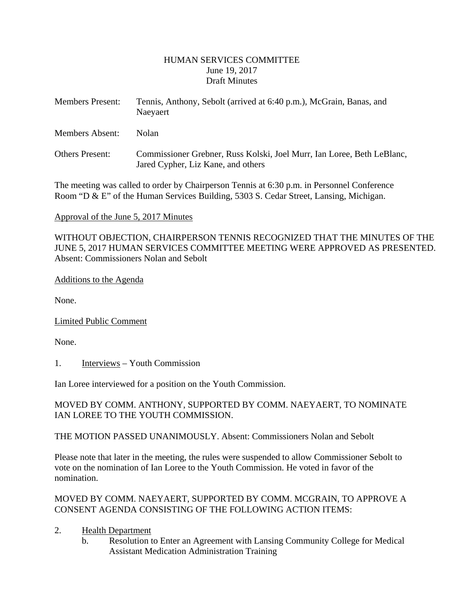#### HUMAN SERVICES COMMITTEE June 19, 2017 Draft Minutes

| <b>Members Present:</b> | Tennis, Anthony, Sebolt (arrived at 6:40 p.m.), McGrain, Banas, and<br>Naeyaert                              |
|-------------------------|--------------------------------------------------------------------------------------------------------------|
| Members Absent:         | Nolan                                                                                                        |
| <b>Others Present:</b>  | Commissioner Grebner, Russ Kolski, Joel Murr, Ian Loree, Beth LeBlanc,<br>Jared Cypher, Liz Kane, and others |

The meeting was called to order by Chairperson Tennis at 6:30 p.m. in Personnel Conference Room "D & E" of the Human Services Building, 5303 S. Cedar Street, Lansing, Michigan.

Approval of the June 5, 2017 Minutes

WITHOUT OBJECTION, CHAIRPERSON TENNIS RECOGNIZED THAT THE MINUTES OF THE JUNE 5, 2017 HUMAN SERVICES COMMITTEE MEETING WERE APPROVED AS PRESENTED. Absent: Commissioners Nolan and Sebolt

#### Additions to the Agenda

None.

Limited Public Comment

None.

1. Interviews – Youth Commission

Ian Loree interviewed for a position on the Youth Commission.

#### MOVED BY COMM. ANTHONY, SUPPORTED BY COMM. NAEYAERT, TO NOMINATE IAN LOREE TO THE YOUTH COMMISSION.

THE MOTION PASSED UNANIMOUSLY. Absent: Commissioners Nolan and Sebolt

Please note that later in the meeting, the rules were suspended to allow Commissioner Sebolt to vote on the nomination of Ian Loree to the Youth Commission. He voted in favor of the nomination.

### MOVED BY COMM. NAEYAERT, SUPPORTED BY COMM. MCGRAIN, TO APPROVE A CONSENT AGENDA CONSISTING OF THE FOLLOWING ACTION ITEMS:

### 2. Health Department

b. Resolution to Enter an Agreement with Lansing Community College for Medical Assistant Medication Administration Training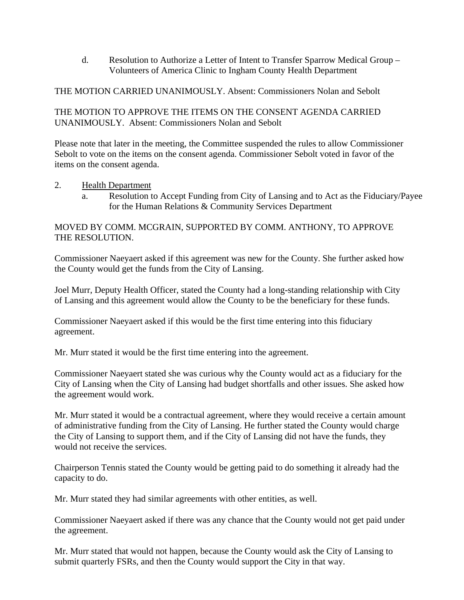d. Resolution to Authorize a Letter of Intent to Transfer Sparrow Medical Group – Volunteers of America Clinic to Ingham County Health Department

#### THE MOTION CARRIED UNANIMOUSLY. Absent: Commissioners Nolan and Sebolt

#### THE MOTION TO APPROVE THE ITEMS ON THE CONSENT AGENDA CARRIED UNANIMOUSLY. Absent: Commissioners Nolan and Sebolt

Please note that later in the meeting, the Committee suspended the rules to allow Commissioner Sebolt to vote on the items on the consent agenda. Commissioner Sebolt voted in favor of the items on the consent agenda.

#### 2. Health Department

a. Resolution to Accept Funding from City of Lansing and to Act as the Fiduciary/Payee for the Human Relations & Community Services Department

### MOVED BY COMM. MCGRAIN, SUPPORTED BY COMM. ANTHONY, TO APPROVE THE RESOLUTION.

Commissioner Naeyaert asked if this agreement was new for the County. She further asked how the County would get the funds from the City of Lansing.

Joel Murr, Deputy Health Officer, stated the County had a long-standing relationship with City of Lansing and this agreement would allow the County to be the beneficiary for these funds.

Commissioner Naeyaert asked if this would be the first time entering into this fiduciary agreement.

Mr. Murr stated it would be the first time entering into the agreement.

Commissioner Naeyaert stated she was curious why the County would act as a fiduciary for the City of Lansing when the City of Lansing had budget shortfalls and other issues. She asked how the agreement would work.

Mr. Murr stated it would be a contractual agreement, where they would receive a certain amount of administrative funding from the City of Lansing. He further stated the County would charge the City of Lansing to support them, and if the City of Lansing did not have the funds, they would not receive the services.

Chairperson Tennis stated the County would be getting paid to do something it already had the capacity to do.

Mr. Murr stated they had similar agreements with other entities, as well.

Commissioner Naeyaert asked if there was any chance that the County would not get paid under the agreement.

Mr. Murr stated that would not happen, because the County would ask the City of Lansing to submit quarterly FSRs, and then the County would support the City in that way.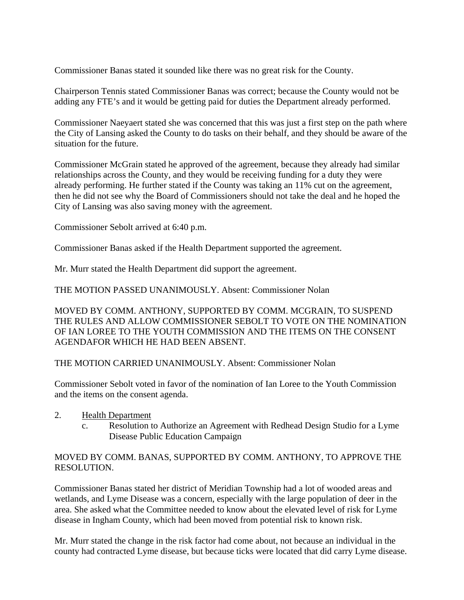Commissioner Banas stated it sounded like there was no great risk for the County.

Chairperson Tennis stated Commissioner Banas was correct; because the County would not be adding any FTE's and it would be getting paid for duties the Department already performed.

Commissioner Naeyaert stated she was concerned that this was just a first step on the path where the City of Lansing asked the County to do tasks on their behalf, and they should be aware of the situation for the future.

Commissioner McGrain stated he approved of the agreement, because they already had similar relationships across the County, and they would be receiving funding for a duty they were already performing. He further stated if the County was taking an 11% cut on the agreement, then he did not see why the Board of Commissioners should not take the deal and he hoped the City of Lansing was also saving money with the agreement.

Commissioner Sebolt arrived at 6:40 p.m.

Commissioner Banas asked if the Health Department supported the agreement.

Mr. Murr stated the Health Department did support the agreement.

THE MOTION PASSED UNANIMOUSLY. Absent: Commissioner Nolan

MOVED BY COMM. ANTHONY, SUPPORTED BY COMM. MCGRAIN, TO SUSPEND THE RULES AND ALLOW COMMISSIONER SEBOLT TO VOTE ON THE NOMINATION OF IAN LOREE TO THE YOUTH COMMISSION AND THE ITEMS ON THE CONSENT AGENDAFOR WHICH HE HAD BEEN ABSENT.

THE MOTION CARRIED UNANIMOUSLY. Absent: Commissioner Nolan

Commissioner Sebolt voted in favor of the nomination of Ian Loree to the Youth Commission and the items on the consent agenda.

- 2. Health Department
	- c. Resolution to Authorize an Agreement with Redhead Design Studio for a Lyme Disease Public Education Campaign

### MOVED BY COMM. BANAS, SUPPORTED BY COMM. ANTHONY, TO APPROVE THE RESOLUTION.

Commissioner Banas stated her district of Meridian Township had a lot of wooded areas and wetlands, and Lyme Disease was a concern, especially with the large population of deer in the area. She asked what the Committee needed to know about the elevated level of risk for Lyme disease in Ingham County, which had been moved from potential risk to known risk.

Mr. Murr stated the change in the risk factor had come about, not because an individual in the county had contracted Lyme disease, but because ticks were located that did carry Lyme disease.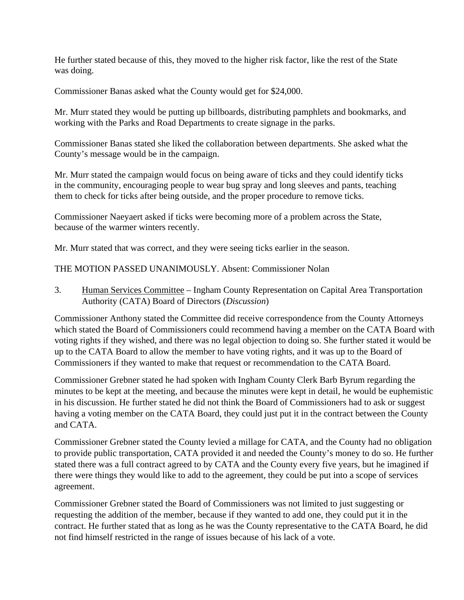He further stated because of this, they moved to the higher risk factor, like the rest of the State was doing.

Commissioner Banas asked what the County would get for \$24,000.

Mr. Murr stated they would be putting up billboards, distributing pamphlets and bookmarks, and working with the Parks and Road Departments to create signage in the parks.

Commissioner Banas stated she liked the collaboration between departments. She asked what the County's message would be in the campaign.

Mr. Murr stated the campaign would focus on being aware of ticks and they could identify ticks in the community, encouraging people to wear bug spray and long sleeves and pants, teaching them to check for ticks after being outside, and the proper procedure to remove ticks.

Commissioner Naeyaert asked if ticks were becoming more of a problem across the State, because of the warmer winters recently.

Mr. Murr stated that was correct, and they were seeing ticks earlier in the season.

THE MOTION PASSED UNANIMOUSLY. Absent: Commissioner Nolan

3. Human Services Committee – Ingham County Representation on Capital Area Transportation Authority (CATA) Board of Directors (*Discussion*)

Commissioner Anthony stated the Committee did receive correspondence from the County Attorneys which stated the Board of Commissioners could recommend having a member on the CATA Board with voting rights if they wished, and there was no legal objection to doing so. She further stated it would be up to the CATA Board to allow the member to have voting rights, and it was up to the Board of Commissioners if they wanted to make that request or recommendation to the CATA Board.

Commissioner Grebner stated he had spoken with Ingham County Clerk Barb Byrum regarding the minutes to be kept at the meeting, and because the minutes were kept in detail, he would be euphemistic in his discussion. He further stated he did not think the Board of Commissioners had to ask or suggest having a voting member on the CATA Board, they could just put it in the contract between the County and CATA.

Commissioner Grebner stated the County levied a millage for CATA, and the County had no obligation to provide public transportation, CATA provided it and needed the County's money to do so. He further stated there was a full contract agreed to by CATA and the County every five years, but he imagined if there were things they would like to add to the agreement, they could be put into a scope of services agreement.

Commissioner Grebner stated the Board of Commissioners was not limited to just suggesting or requesting the addition of the member, because if they wanted to add one, they could put it in the contract. He further stated that as long as he was the County representative to the CATA Board, he did not find himself restricted in the range of issues because of his lack of a vote.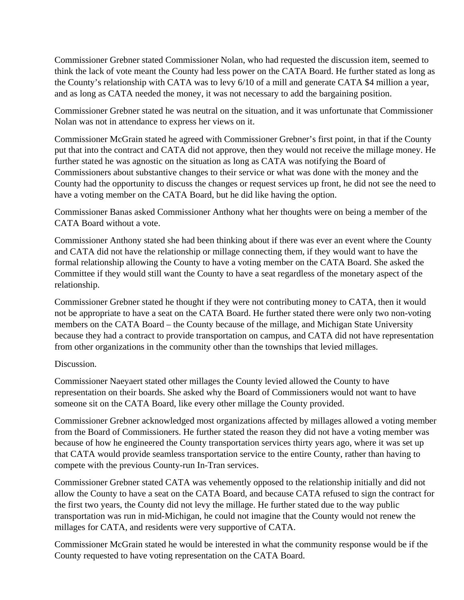Commissioner Grebner stated Commissioner Nolan, who had requested the discussion item, seemed to think the lack of vote meant the County had less power on the CATA Board. He further stated as long as the County's relationship with CATA was to levy 6/10 of a mill and generate CATA \$4 million a year, and as long as CATA needed the money, it was not necessary to add the bargaining position.

Commissioner Grebner stated he was neutral on the situation, and it was unfortunate that Commissioner Nolan was not in attendance to express her views on it.

Commissioner McGrain stated he agreed with Commissioner Grebner's first point, in that if the County put that into the contract and CATA did not approve, then they would not receive the millage money. He further stated he was agnostic on the situation as long as CATA was notifying the Board of Commissioners about substantive changes to their service or what was done with the money and the County had the opportunity to discuss the changes or request services up front, he did not see the need to have a voting member on the CATA Board, but he did like having the option.

Commissioner Banas asked Commissioner Anthony what her thoughts were on being a member of the CATA Board without a vote.

Commissioner Anthony stated she had been thinking about if there was ever an event where the County and CATA did not have the relationship or millage connecting them, if they would want to have the formal relationship allowing the County to have a voting member on the CATA Board. She asked the Committee if they would still want the County to have a seat regardless of the monetary aspect of the relationship.

Commissioner Grebner stated he thought if they were not contributing money to CATA, then it would not be appropriate to have a seat on the CATA Board. He further stated there were only two non-voting members on the CATA Board – the County because of the millage, and Michigan State University because they had a contract to provide transportation on campus, and CATA did not have representation from other organizations in the community other than the townships that levied millages.

### Discussion.

Commissioner Naeyaert stated other millages the County levied allowed the County to have representation on their boards. She asked why the Board of Commissioners would not want to have someone sit on the CATA Board, like every other millage the County provided.

Commissioner Grebner acknowledged most organizations affected by millages allowed a voting member from the Board of Commissioners. He further stated the reason they did not have a voting member was because of how he engineered the County transportation services thirty years ago, where it was set up that CATA would provide seamless transportation service to the entire County, rather than having to compete with the previous County-run In-Tran services.

Commissioner Grebner stated CATA was vehemently opposed to the relationship initially and did not allow the County to have a seat on the CATA Board, and because CATA refused to sign the contract for the first two years, the County did not levy the millage. He further stated due to the way public transportation was run in mid-Michigan, he could not imagine that the County would not renew the millages for CATA, and residents were very supportive of CATA.

Commissioner McGrain stated he would be interested in what the community response would be if the County requested to have voting representation on the CATA Board.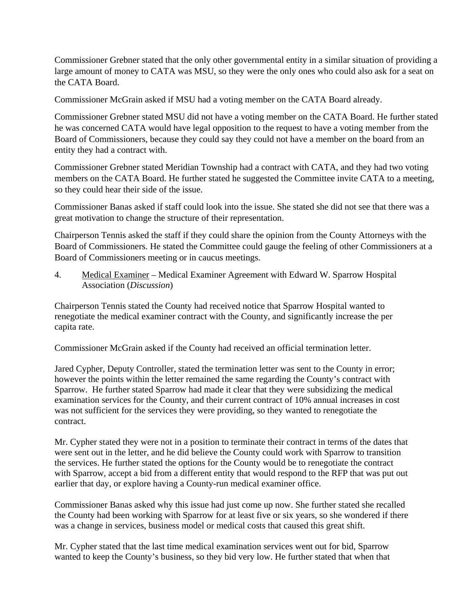Commissioner Grebner stated that the only other governmental entity in a similar situation of providing a large amount of money to CATA was MSU, so they were the only ones who could also ask for a seat on the CATA Board.

Commissioner McGrain asked if MSU had a voting member on the CATA Board already.

Commissioner Grebner stated MSU did not have a voting member on the CATA Board. He further stated he was concerned CATA would have legal opposition to the request to have a voting member from the Board of Commissioners, because they could say they could not have a member on the board from an entity they had a contract with.

Commissioner Grebner stated Meridian Township had a contract with CATA, and they had two voting members on the CATA Board. He further stated he suggested the Committee invite CATA to a meeting, so they could hear their side of the issue.

Commissioner Banas asked if staff could look into the issue. She stated she did not see that there was a great motivation to change the structure of their representation.

Chairperson Tennis asked the staff if they could share the opinion from the County Attorneys with the Board of Commissioners. He stated the Committee could gauge the feeling of other Commissioners at a Board of Commissioners meeting or in caucus meetings.

4. Medical Examiner – Medical Examiner Agreement with Edward W. Sparrow Hospital Association (*Discussion*)

Chairperson Tennis stated the County had received notice that Sparrow Hospital wanted to renegotiate the medical examiner contract with the County, and significantly increase the per capita rate.

Commissioner McGrain asked if the County had received an official termination letter.

Jared Cypher, Deputy Controller, stated the termination letter was sent to the County in error; however the points within the letter remained the same regarding the County's contract with Sparrow. He further stated Sparrow had made it clear that they were subsidizing the medical examination services for the County, and their current contract of 10% annual increases in cost was not sufficient for the services they were providing, so they wanted to renegotiate the contract.

Mr. Cypher stated they were not in a position to terminate their contract in terms of the dates that were sent out in the letter, and he did believe the County could work with Sparrow to transition the services. He further stated the options for the County would be to renegotiate the contract with Sparrow, accept a bid from a different entity that would respond to the RFP that was put out earlier that day, or explore having a County-run medical examiner office.

Commissioner Banas asked why this issue had just come up now. She further stated she recalled the County had been working with Sparrow for at least five or six years, so she wondered if there was a change in services, business model or medical costs that caused this great shift.

Mr. Cypher stated that the last time medical examination services went out for bid, Sparrow wanted to keep the County's business, so they bid very low. He further stated that when that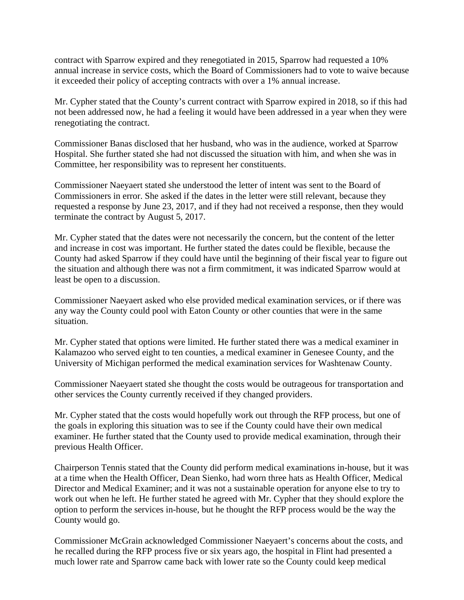contract with Sparrow expired and they renegotiated in 2015, Sparrow had requested a 10% annual increase in service costs, which the Board of Commissioners had to vote to waive because it exceeded their policy of accepting contracts with over a 1% annual increase.

Mr. Cypher stated that the County's current contract with Sparrow expired in 2018, so if this had not been addressed now, he had a feeling it would have been addressed in a year when they were renegotiating the contract.

Commissioner Banas disclosed that her husband, who was in the audience, worked at Sparrow Hospital. She further stated she had not discussed the situation with him, and when she was in Committee, her responsibility was to represent her constituents.

Commissioner Naeyaert stated she understood the letter of intent was sent to the Board of Commissioners in error. She asked if the dates in the letter were still relevant, because they requested a response by June 23, 2017, and if they had not received a response, then they would terminate the contract by August 5, 2017.

Mr. Cypher stated that the dates were not necessarily the concern, but the content of the letter and increase in cost was important. He further stated the dates could be flexible, because the County had asked Sparrow if they could have until the beginning of their fiscal year to figure out the situation and although there was not a firm commitment, it was indicated Sparrow would at least be open to a discussion.

Commissioner Naeyaert asked who else provided medical examination services, or if there was any way the County could pool with Eaton County or other counties that were in the same situation.

Mr. Cypher stated that options were limited. He further stated there was a medical examiner in Kalamazoo who served eight to ten counties, a medical examiner in Genesee County, and the University of Michigan performed the medical examination services for Washtenaw County.

Commissioner Naeyaert stated she thought the costs would be outrageous for transportation and other services the County currently received if they changed providers.

Mr. Cypher stated that the costs would hopefully work out through the RFP process, but one of the goals in exploring this situation was to see if the County could have their own medical examiner. He further stated that the County used to provide medical examination, through their previous Health Officer.

Chairperson Tennis stated that the County did perform medical examinations in-house, but it was at a time when the Health Officer, Dean Sienko, had worn three hats as Health Officer, Medical Director and Medical Examiner; and it was not a sustainable operation for anyone else to try to work out when he left. He further stated he agreed with Mr. Cypher that they should explore the option to perform the services in-house, but he thought the RFP process would be the way the County would go.

Commissioner McGrain acknowledged Commissioner Naeyaert's concerns about the costs, and he recalled during the RFP process five or six years ago, the hospital in Flint had presented a much lower rate and Sparrow came back with lower rate so the County could keep medical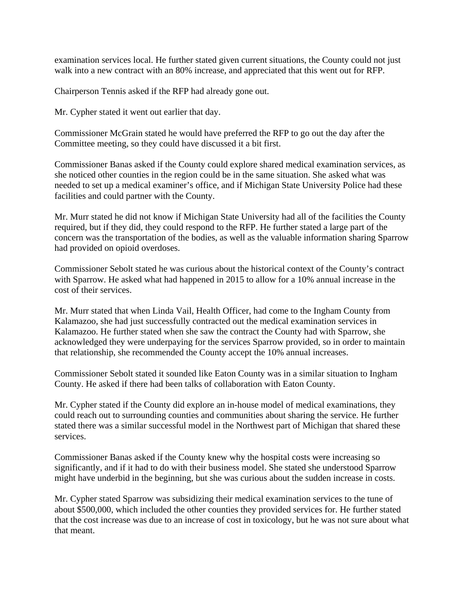examination services local. He further stated given current situations, the County could not just walk into a new contract with an 80% increase, and appreciated that this went out for RFP.

Chairperson Tennis asked if the RFP had already gone out.

Mr. Cypher stated it went out earlier that day.

Commissioner McGrain stated he would have preferred the RFP to go out the day after the Committee meeting, so they could have discussed it a bit first.

Commissioner Banas asked if the County could explore shared medical examination services, as she noticed other counties in the region could be in the same situation. She asked what was needed to set up a medical examiner's office, and if Michigan State University Police had these facilities and could partner with the County.

Mr. Murr stated he did not know if Michigan State University had all of the facilities the County required, but if they did, they could respond to the RFP. He further stated a large part of the concern was the transportation of the bodies, as well as the valuable information sharing Sparrow had provided on opioid overdoses.

Commissioner Sebolt stated he was curious about the historical context of the County's contract with Sparrow. He asked what had happened in 2015 to allow for a 10% annual increase in the cost of their services.

Mr. Murr stated that when Linda Vail, Health Officer, had come to the Ingham County from Kalamazoo, she had just successfully contracted out the medical examination services in Kalamazoo. He further stated when she saw the contract the County had with Sparrow, she acknowledged they were underpaying for the services Sparrow provided, so in order to maintain that relationship, she recommended the County accept the 10% annual increases.

Commissioner Sebolt stated it sounded like Eaton County was in a similar situation to Ingham County. He asked if there had been talks of collaboration with Eaton County.

Mr. Cypher stated if the County did explore an in-house model of medical examinations, they could reach out to surrounding counties and communities about sharing the service. He further stated there was a similar successful model in the Northwest part of Michigan that shared these services.

Commissioner Banas asked if the County knew why the hospital costs were increasing so significantly, and if it had to do with their business model. She stated she understood Sparrow might have underbid in the beginning, but she was curious about the sudden increase in costs.

Mr. Cypher stated Sparrow was subsidizing their medical examination services to the tune of about \$500,000, which included the other counties they provided services for. He further stated that the cost increase was due to an increase of cost in toxicology, but he was not sure about what that meant.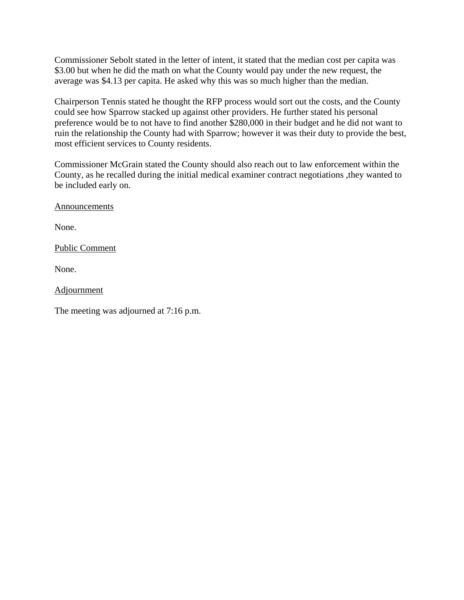Commissioner Sebolt stated in the letter of intent, it stated that the median cost per capita was \$3.00 but when he did the math on what the County would pay under the new request, the average was \$4.13 per capita. He asked why this was so much higher than the median.

Chairperson Tennis stated he thought the RFP process would sort out the costs, and the County could see how Sparrow stacked up against other providers. He further stated his personal preference would be to not have to find another \$280,000 in their budget and he did not want to ruin the relationship the County had with Sparrow; however it was their duty to provide the best, most efficient services to County residents.

Commissioner McGrain stated the County should also reach out to law enforcement within the County, as he recalled during the initial medical examiner contract negotiations ,they wanted to be included early on.

Announcements

None.

Public Comment

None.

Adjournment

The meeting was adjourned at 7:16 p.m.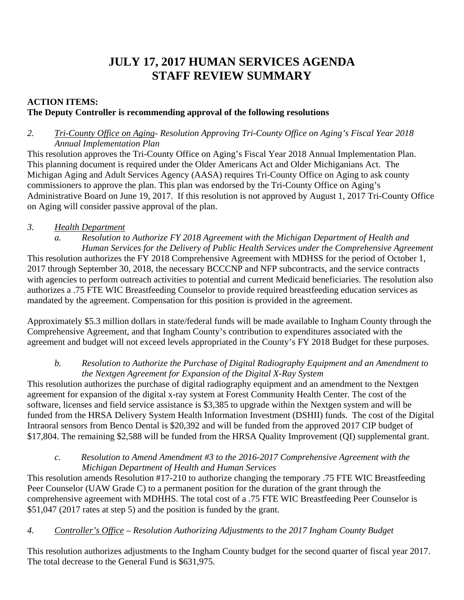# **JULY 17, 2017 HUMAN SERVICES AGENDA STAFF REVIEW SUMMARY**

# **ACTION ITEMS: The Deputy Controller is recommending approval of the following resolutions**

## *2. Tri-County Office on Aging- Resolution Approving Tri-County Office on Aging's Fiscal Year 2018 Annual Implementation Plan*

This resolution approves the Tri-County Office on Aging's Fiscal Year 2018 Annual Implementation Plan. This planning document is required under the Older Americans Act and Older Michiganians Act. The Michigan Aging and Adult Services Agency (AASA) requires Tri-County Office on Aging to ask county commissioners to approve the plan. This plan was endorsed by the Tri-County Office on Aging's Administrative Board on June 19, 2017. If this resolution is not approved by August 1, 2017 Tri-County Office on Aging will consider passive approval of the plan.

# *3. Health Department*

- *a. Resolution to Authorize FY 2018 Agreement with the Michigan Department of Health and Human Services for the Delivery of Public Health Services under the Comprehensive Agreement*  This resolution authorizes the FY 2018 Comprehensive Agreement with MDHSS for the period of October 1, 2017 through September 30, 2018, the necessary BCCCNP and NFP subcontracts, and the service contracts with agencies to perform outreach activities to potential and current Medicaid beneficiaries. The resolution also authorizes a .75 FTE WIC Breastfeeding Counselor to provide required breastfeeding education services as
- mandated by the agreement. Compensation for this position is provided in the agreement.

Approximately \$5.3 million dollars in state/federal funds will be made available to Ingham County through the Comprehensive Agreement, and that Ingham County's contribution to expenditures associated with the agreement and budget will not exceed levels appropriated in the County's FY 2018 Budget for these purposes.

### *b. Resolution to Authorize the Purchase of Digital Radiography Equipment and an Amendment to the Nextgen Agreement for Expansion of the Digital X-Ray System*

This resolution authorizes the purchase of digital radiography equipment and an amendment to the Nextgen agreement for expansion of the digital x-ray system at Forest Community Health Center. The cost of the software, licenses and field service assistance is \$3,385 to upgrade within the Nextgen system and will be funded from the HRSA Delivery System Health Information Investment (DSHII) funds. The cost of the Digital Intraoral sensors from Benco Dental is \$20,392 and will be funded from the approved 2017 CIP budget of \$17,804. The remaining \$2,588 will be funded from the HRSA Quality Improvement (QI) supplemental grant.

### *c. Resolution to Amend Amendment #3 to the 2016-2017 Comprehensive Agreement with the Michigan Department of Health and Human Services*

This resolution amends Resolution #17-210 to authorize changing the temporary .75 FTE WIC Breastfeeding Peer Counselor (UAW Grade C) to a permanent position for the duration of the grant through the comprehensive agreement with MDHHS. The total cost of a .75 FTE WIC Breastfeeding Peer Counselor is \$51,047 (2017 rates at step 5) and the position is funded by the grant.

# *4. Controller's Office – Resolution Authorizing Adjustments to the 2017 Ingham County Budget*

This resolution authorizes adjustments to the Ingham County budget for the second quarter of fiscal year 2017. The total decrease to the General Fund is \$631,975.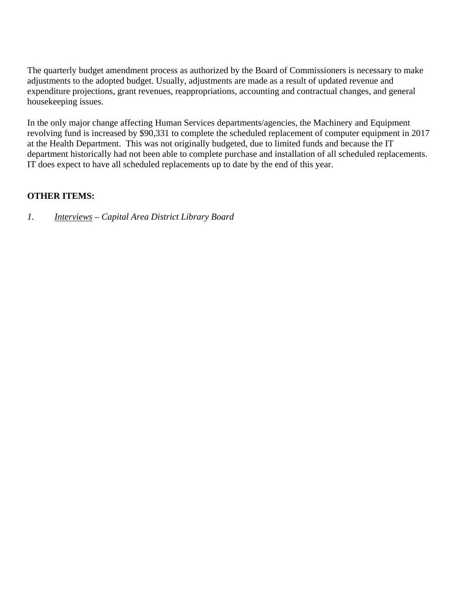The quarterly budget amendment process as authorized by the Board of Commissioners is necessary to make adjustments to the adopted budget. Usually, adjustments are made as a result of updated revenue and expenditure projections, grant revenues, reappropriations, accounting and contractual changes, and general housekeeping issues.

In the only major change affecting Human Services departments/agencies, the Machinery and Equipment revolving fund is increased by \$90,331 to complete the scheduled replacement of computer equipment in 2017 at the Health Department. This was not originally budgeted, due to limited funds and because the IT department historically had not been able to complete purchase and installation of all scheduled replacements. IT does expect to have all scheduled replacements up to date by the end of this year.

# **OTHER ITEMS:**

*1. Interviews – Capital Area District Library Board*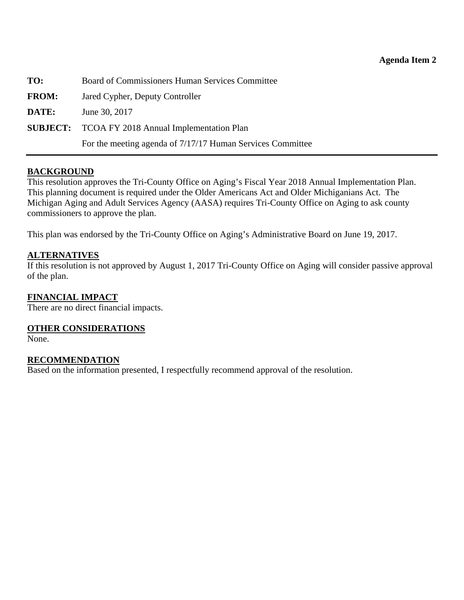| TO:          | Board of Commissioners Human Services Committee            |
|--------------|------------------------------------------------------------|
| <b>FROM:</b> | Jared Cypher, Deputy Controller                            |
| DATE:        | June 30, 2017                                              |
|              | <b>SUBJECT:</b> TCOA FY 2018 Annual Implementation Plan    |
|              | For the meeting agenda of 7/17/17 Human Services Committee |

#### **BACKGROUND**

This resolution approves the Tri-County Office on Aging's Fiscal Year 2018 Annual Implementation Plan. This planning document is required under the Older Americans Act and Older Michiganians Act. The Michigan Aging and Adult Services Agency (AASA) requires Tri-County Office on Aging to ask county commissioners to approve the plan.

This plan was endorsed by the Tri-County Office on Aging's Administrative Board on June 19, 2017.

#### **ALTERNATIVES**

If this resolution is not approved by August 1, 2017 Tri-County Office on Aging will consider passive approval of the plan.

#### **FINANCIAL IMPACT**

There are no direct financial impacts.

#### **OTHER CONSIDERATIONS**

None.

#### **RECOMMENDATION**

Based on the information presented, I respectfully recommend approval of the resolution.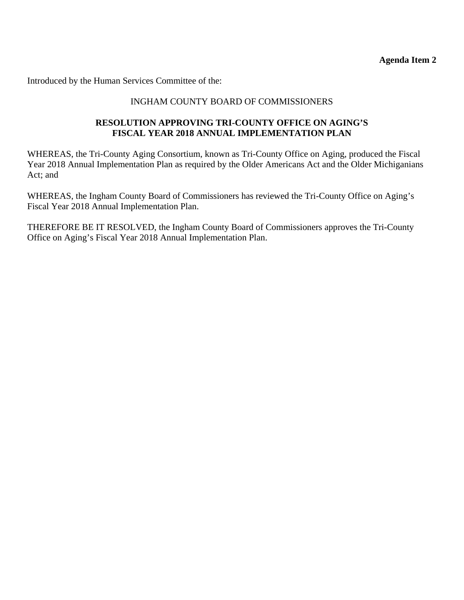**Agenda Item 2** 

Introduced by the Human Services Committee of the:

#### INGHAM COUNTY BOARD OF COMMISSIONERS

#### **RESOLUTION APPROVING TRI-COUNTY OFFICE ON AGING'S FISCAL YEAR 2018 ANNUAL IMPLEMENTATION PLAN**

WHEREAS, the Tri-County Aging Consortium, known as Tri-County Office on Aging, produced the Fiscal Year 2018 Annual Implementation Plan as required by the Older Americans Act and the Older Michiganians Act; and

WHEREAS, the Ingham County Board of Commissioners has reviewed the Tri-County Office on Aging's Fiscal Year 2018 Annual Implementation Plan.

THEREFORE BE IT RESOLVED, the Ingham County Board of Commissioners approves the Tri-County Office on Aging's Fiscal Year 2018 Annual Implementation Plan.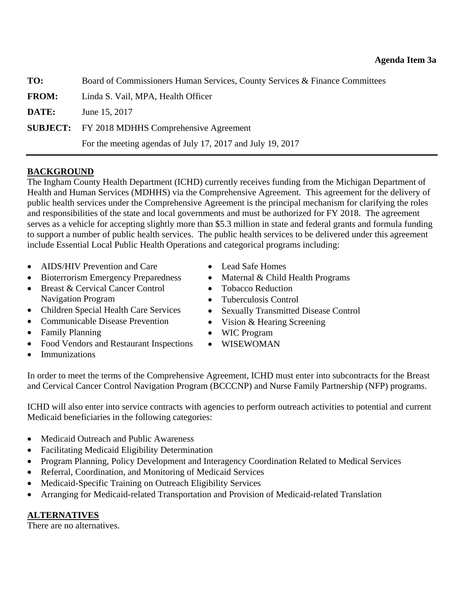| TO:          | Board of Commissioners Human Services, County Services & Finance Committees |
|--------------|-----------------------------------------------------------------------------|
| <b>FROM:</b> | Linda S. Vail, MPA, Health Officer                                          |
| DATE:        | June 15, 2017                                                               |
|              | <b>SUBJECT:</b> FY 2018 MDHHS Comprehensive Agreement                       |
|              | For the meeting agendas of July 17, 2017 and July 19, 2017                  |
|              |                                                                             |

# **BACKGROUND**

The Ingham County Health Department (ICHD) currently receives funding from the Michigan Department of Health and Human Services (MDHHS) via the Comprehensive Agreement. This agreement for the delivery of public health services under the Comprehensive Agreement is the principal mechanism for clarifying the roles and responsibilities of the state and local governments and must be authorized for FY 2018. The agreement serves as a vehicle for accepting slightly more than \$5.3 million in state and federal grants and formula funding to support a number of public health services. The public health services to be delivered under this agreement include Essential Local Public Health Operations and categorical programs including:

- AIDS/HIV Prevention and Care
- Bioterrorism Emergency Preparedness
- Breast & Cervical Cancer Control Navigation Program
- Children Special Health Care Services
- Communicable Disease Prevention
- Family Planning
- Food Vendors and Restaurant Inspections
- Lead Safe Homes
- Maternal & Child Health Programs
- Tobacco Reduction
- Tuberculosis Control
- Sexually Transmitted Disease Control
- Vision & Hearing Screening
- WIC Program
- WISEWOMAN

Immunizations

In order to meet the terms of the Comprehensive Agreement, ICHD must enter into subcontracts for the Breast and Cervical Cancer Control Navigation Program (BCCCNP) and Nurse Family Partnership (NFP) programs.

ICHD will also enter into service contracts with agencies to perform outreach activities to potential and current Medicaid beneficiaries in the following categories:

- Medicaid Outreach and Public Awareness
- Facilitating Medicaid Eligibility Determination
- Program Planning, Policy Development and Interagency Coordination Related to Medical Services
- Referral, Coordination, and Monitoring of Medicaid Services
- Medicaid-Specific Training on Outreach Eligibility Services
- Arranging for Medicaid-related Transportation and Provision of Medicaid-related Translation

### **ALTERNATIVES**

There are no alternatives.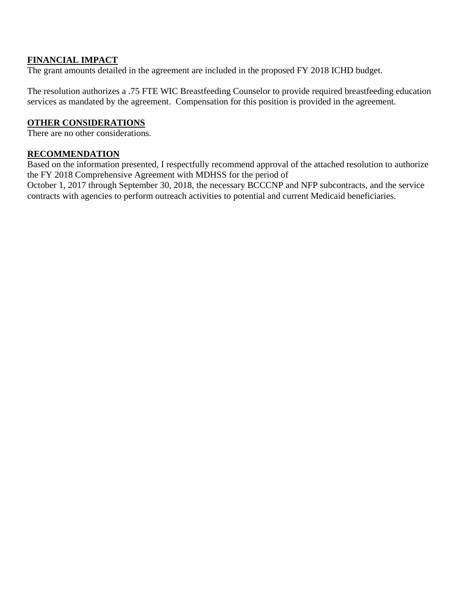## **FINANCIAL IMPACT**

The grant amounts detailed in the agreement are included in the proposed FY 2018 ICHD budget.

The resolution authorizes a .75 FTE WIC Breastfeeding Counselor to provide required breastfeeding education services as mandated by the agreement. Compensation for this position is provided in the agreement.

## **OTHER CONSIDERATIONS**

There are no other considerations.

### **RECOMMENDATION**

Based on the information presented, I respectfully recommend approval of the attached resolution to authorize the FY 2018 Comprehensive Agreement with MDHSS for the period of

October 1, 2017 through September 30, 2018, the necessary BCCCNP and NFP subcontracts, and the service contracts with agencies to perform outreach activities to potential and current Medicaid beneficiaries.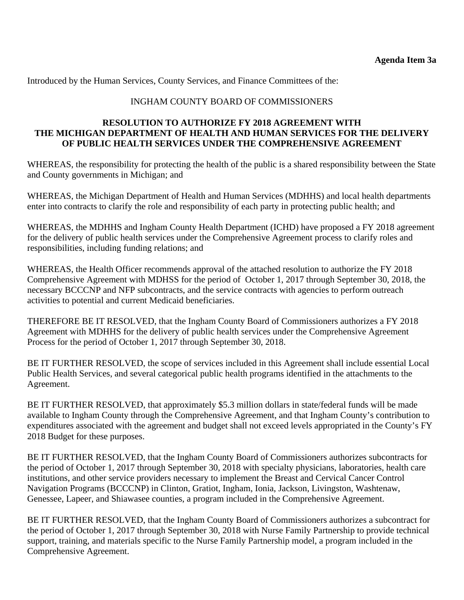Introduced by the Human Services, County Services, and Finance Committees of the:

#### INGHAM COUNTY BOARD OF COMMISSIONERS

#### **RESOLUTION TO AUTHORIZE FY 2018 AGREEMENT WITH THE MICHIGAN DEPARTMENT OF HEALTH AND HUMAN SERVICES FOR THE DELIVERY OF PUBLIC HEALTH SERVICES UNDER THE COMPREHENSIVE AGREEMENT**

WHEREAS, the responsibility for protecting the health of the public is a shared responsibility between the State and County governments in Michigan; and

WHEREAS, the Michigan Department of Health and Human Services (MDHHS) and local health departments enter into contracts to clarify the role and responsibility of each party in protecting public health; and

WHEREAS, the MDHHS and Ingham County Health Department (ICHD) have proposed a FY 2018 agreement for the delivery of public health services under the Comprehensive Agreement process to clarify roles and responsibilities, including funding relations; and

WHEREAS, the Health Officer recommends approval of the attached resolution to authorize the FY 2018 Comprehensive Agreement with MDHSS for the period of October 1, 2017 through September 30, 2018, the necessary BCCCNP and NFP subcontracts, and the service contracts with agencies to perform outreach activities to potential and current Medicaid beneficiaries.

THEREFORE BE IT RESOLVED, that the Ingham County Board of Commissioners authorizes a FY 2018 Agreement with MDHHS for the delivery of public health services under the Comprehensive Agreement Process for the period of October 1, 2017 through September 30, 2018.

BE IT FURTHER RESOLVED, the scope of services included in this Agreement shall include essential Local Public Health Services, and several categorical public health programs identified in the attachments to the Agreement.

BE IT FURTHER RESOLVED, that approximately \$5.3 million dollars in state/federal funds will be made available to Ingham County through the Comprehensive Agreement, and that Ingham County's contribution to expenditures associated with the agreement and budget shall not exceed levels appropriated in the County's FY 2018 Budget for these purposes.

BE IT FURTHER RESOLVED, that the Ingham County Board of Commissioners authorizes subcontracts for the period of October 1, 2017 through September 30, 2018 with specialty physicians, laboratories, health care institutions, and other service providers necessary to implement the Breast and Cervical Cancer Control Navigation Programs (BCCCNP) in Clinton, Gratiot, Ingham, Ionia, Jackson, Livingston, Washtenaw, Genessee, Lapeer, and Shiawasee counties, a program included in the Comprehensive Agreement.

BE IT FURTHER RESOLVED, that the Ingham County Board of Commissioners authorizes a subcontract for the period of October 1, 2017 through September 30, 2018 with Nurse Family Partnership to provide technical support, training, and materials specific to the Nurse Family Partnership model, a program included in the Comprehensive Agreement.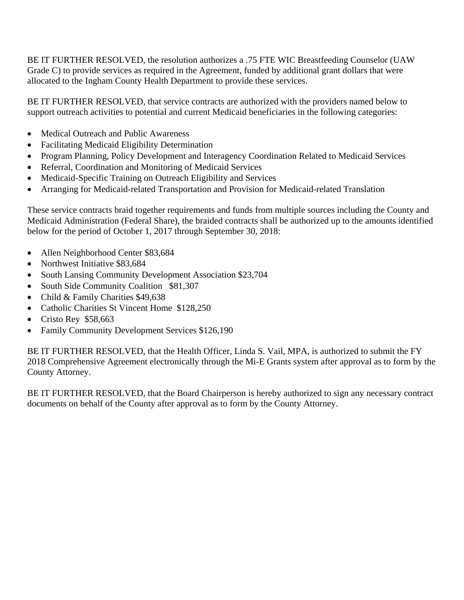BE IT FURTHER RESOLVED, the resolution authorizes a .75 FTE WIC Breastfeeding Counselor (UAW Grade C) to provide services as required in the Agreement, funded by additional grant dollars that were allocated to the Ingham County Health Department to provide these services.

BE IT FURTHER RESOLVED, that service contracts are authorized with the providers named below to support outreach activities to potential and current Medicaid beneficiaries in the following categories:

- Medical Outreach and Public Awareness
- Facilitating Medicaid Eligibility Determination
- Program Planning, Policy Development and Interagency Coordination Related to Medicaid Services
- Referral, Coordination and Monitoring of Medicaid Services
- Medicaid-Specific Training on Outreach Eligibility and Services
- Arranging for Medicaid-related Transportation and Provision for Medicaid-related Translation

These service contracts braid together requirements and funds from multiple sources including the County and Medicaid Administration (Federal Share), the braided contracts shall be authorized up to the amounts identified below for the period of October 1, 2017 through September 30, 2018:

- Allen Neighborhood Center \$83,684
- Northwest Initiative \$83,684
- South Lansing Community Development Association \$23,704
- South Side Community Coalition \$81,307
- Child & Family Charities \$49,638
- Catholic Charities St Vincent Home \$128,250
- $\bullet$  Cristo Rey \$58,663
- Family Community Development Services \$126,190

BE IT FURTHER RESOLVED, that the Health Officer, Linda S. Vail, MPA, is authorized to submit the FY 2018 Comprehensive Agreement electronically through the Mi-E Grants system after approval as to form by the County Attorney.

BE IT FURTHER RESOLVED, that the Board Chairperson is hereby authorized to sign any necessary contract documents on behalf of the County after approval as to form by the County Attorney.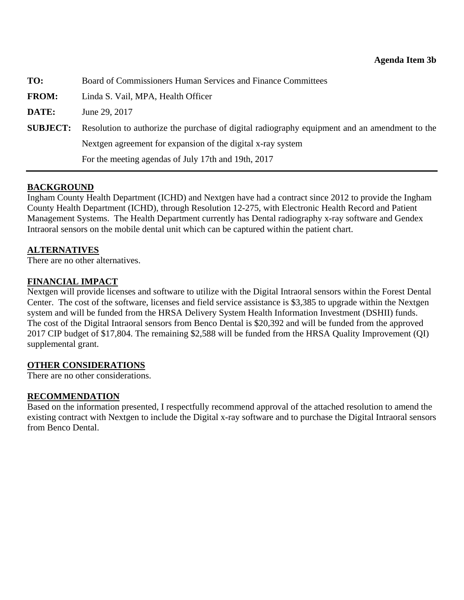| TO:             | Board of Commissioners Human Services and Finance Committees                                  |
|-----------------|-----------------------------------------------------------------------------------------------|
| <b>FROM:</b>    | Linda S. Vail, MPA, Health Officer                                                            |
| DATE:           | June 29, 2017                                                                                 |
| <b>SUBJECT:</b> | Resolution to authorize the purchase of digital radiography equipment and an amendment to the |
|                 | Nextgen agreement for expansion of the digital x-ray system                                   |
|                 | For the meeting agendas of July 17th and 19th, 2017                                           |

### **BACKGROUND**

Ingham County Health Department (ICHD) and Nextgen have had a contract since 2012 to provide the Ingham County Health Department (ICHD), through Resolution 12-275, with Electronic Health Record and Patient Management Systems. The Health Department currently has Dental radiography x-ray software and Gendex Intraoral sensors on the mobile dental unit which can be captured within the patient chart.

#### **ALTERNATIVES**

There are no other alternatives.

#### **FINANCIAL IMPACT**

Nextgen will provide licenses and software to utilize with the Digital Intraoral sensors within the Forest Dental Center. The cost of the software, licenses and field service assistance is \$3,385 to upgrade within the Nextgen system and will be funded from the HRSA Delivery System Health Information Investment (DSHII) funds. The cost of the Digital Intraoral sensors from Benco Dental is \$20,392 and will be funded from the approved 2017 CIP budget of \$17,804. The remaining \$2,588 will be funded from the HRSA Quality Improvement (QI) supplemental grant.

### **OTHER CONSIDERATIONS**

There are no other considerations.

### **RECOMMENDATION**

Based on the information presented, I respectfully recommend approval of the attached resolution to amend the existing contract with Nextgen to include the Digital x-ray software and to purchase the Digital Intraoral sensors from Benco Dental.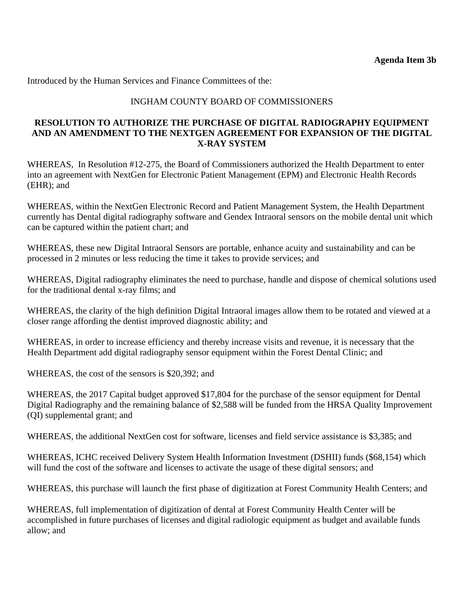Introduced by the Human Services and Finance Committees of the:

### INGHAM COUNTY BOARD OF COMMISSIONERS

#### **RESOLUTION TO AUTHORIZE THE PURCHASE OF DIGITAL RADIOGRAPHY EQUIPMENT AND AN AMENDMENT TO THE NEXTGEN AGREEMENT FOR EXPANSION OF THE DIGITAL X-RAY SYSTEM**

WHEREAS, In Resolution #12-275, the Board of Commissioners authorized the Health Department to enter into an agreement with NextGen for Electronic Patient Management (EPM) and Electronic Health Records (EHR); and

WHEREAS, within the NextGen Electronic Record and Patient Management System, the Health Department currently has Dental digital radiography software and Gendex Intraoral sensors on the mobile dental unit which can be captured within the patient chart; and

WHEREAS, these new Digital Intraoral Sensors are portable, enhance acuity and sustainability and can be processed in 2 minutes or less reducing the time it takes to provide services; and

WHEREAS, Digital radiography eliminates the need to purchase, handle and dispose of chemical solutions used for the traditional dental x-ray films; and

WHEREAS, the clarity of the high definition Digital Intraoral images allow them to be rotated and viewed at a closer range affording the dentist improved diagnostic ability; and

WHEREAS, in order to increase efficiency and thereby increase visits and revenue, it is necessary that the Health Department add digital radiography sensor equipment within the Forest Dental Clinic; and

WHEREAS, the cost of the sensors is \$20,392; and

WHEREAS, the 2017 Capital budget approved \$17,804 for the purchase of the sensor equipment for Dental Digital Radiography and the remaining balance of \$2,588 will be funded from the HRSA Quality Improvement (QI) supplemental grant; and

WHEREAS, the additional NextGen cost for software, licenses and field service assistance is \$3,385; and

WHEREAS, ICHC received Delivery System Health Information Investment (DSHII) funds (\$68,154) which will fund the cost of the software and licenses to activate the usage of these digital sensors; and

WHEREAS, this purchase will launch the first phase of digitization at Forest Community Health Centers; and

WHEREAS, full implementation of digitization of dental at Forest Community Health Center will be accomplished in future purchases of licenses and digital radiologic equipment as budget and available funds allow; and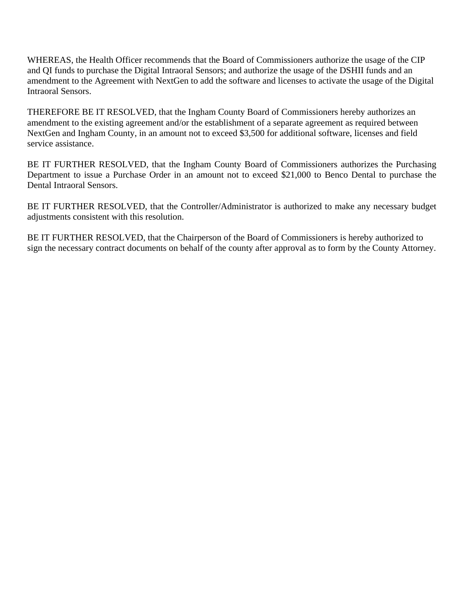WHEREAS, the Health Officer recommends that the Board of Commissioners authorize the usage of the CIP and QI funds to purchase the Digital Intraoral Sensors; and authorize the usage of the DSHII funds and an amendment to the Agreement with NextGen to add the software and licenses to activate the usage of the Digital Intraoral Sensors.

THEREFORE BE IT RESOLVED, that the Ingham County Board of Commissioners hereby authorizes an amendment to the existing agreement and/or the establishment of a separate agreement as required between NextGen and Ingham County, in an amount not to exceed \$3,500 for additional software, licenses and field service assistance.

BE IT FURTHER RESOLVED, that the Ingham County Board of Commissioners authorizes the Purchasing Department to issue a Purchase Order in an amount not to exceed \$21,000 to Benco Dental to purchase the Dental Intraoral Sensors.

BE IT FURTHER RESOLVED, that the Controller/Administrator is authorized to make any necessary budget adjustments consistent with this resolution.

BE IT FURTHER RESOLVED, that the Chairperson of the Board of Commissioners is hereby authorized to sign the necessary contract documents on behalf of the county after approval as to form by the County Attorney.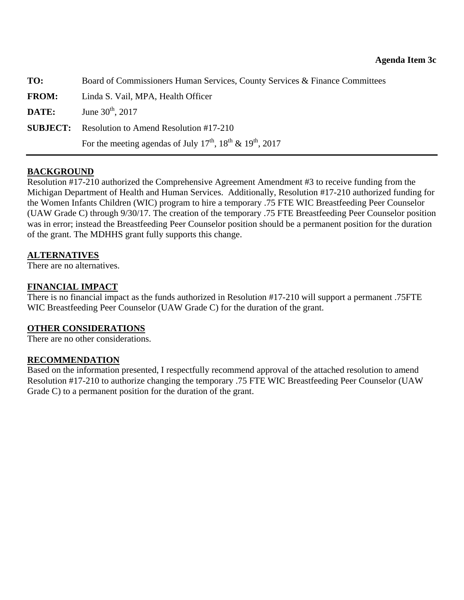| TO:          | Board of Commissioners Human Services, County Services & Finance Committees                    |
|--------------|------------------------------------------------------------------------------------------------|
| <b>FROM:</b> | Linda S. Vail, MPA, Health Officer                                                             |
| DATE:        | June $30^{\text{th}}$ , 2017                                                                   |
|              | <b>SUBJECT:</b> Resolution to Amend Resolution #17-210                                         |
|              | For the meeting agendas of July $17^{\text{th}}$ , $18^{\text{th}} \& 19^{\text{th}}$ , $2017$ |

### **BACKGROUND**

Resolution #17-210 authorized the Comprehensive Agreement Amendment #3 to receive funding from the Michigan Department of Health and Human Services. Additionally, Resolution #17-210 authorized funding for the Women Infants Children (WIC) program to hire a temporary .75 FTE WIC Breastfeeding Peer Counselor (UAW Grade C) through 9/30/17. The creation of the temporary .75 FTE Breastfeeding Peer Counselor position was in error; instead the Breastfeeding Peer Counselor position should be a permanent position for the duration of the grant. The MDHHS grant fully supports this change.

### **ALTERNATIVES**

There are no alternatives.

#### **FINANCIAL IMPACT**

There is no financial impact as the funds authorized in Resolution #17-210 will support a permanent .75FTE WIC Breastfeeding Peer Counselor (UAW Grade C) for the duration of the grant.

### **OTHER CONSIDERATIONS**

There are no other considerations.

#### **RECOMMENDATION**

Based on the information presented, I respectfully recommend approval of the attached resolution to amend Resolution #17-210 to authorize changing the temporary .75 FTE WIC Breastfeeding Peer Counselor (UAW Grade C) to a permanent position for the duration of the grant.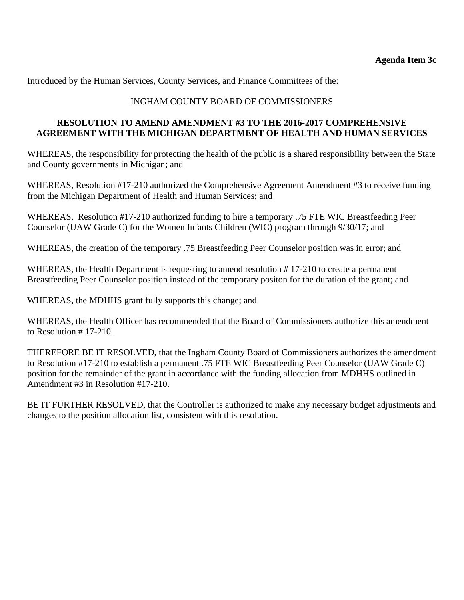Introduced by the Human Services, County Services, and Finance Committees of the:

# INGHAM COUNTY BOARD OF COMMISSIONERS

#### **RESOLUTION TO AMEND AMENDMENT #3 TO THE 2016-2017 COMPREHENSIVE AGREEMENT WITH THE MICHIGAN DEPARTMENT OF HEALTH AND HUMAN SERVICES**

WHEREAS, the responsibility for protecting the health of the public is a shared responsibility between the State and County governments in Michigan; and

WHEREAS, Resolution #17-210 authorized the Comprehensive Agreement Amendment #3 to receive funding from the Michigan Department of Health and Human Services; and

WHEREAS, Resolution #17-210 authorized funding to hire a temporary .75 FTE WIC Breastfeeding Peer Counselor (UAW Grade C) for the Women Infants Children (WIC) program through 9/30/17; and

WHEREAS, the creation of the temporary .75 Breastfeeding Peer Counselor position was in error; and

WHEREAS, the Health Department is requesting to amend resolution #17-210 to create a permanent Breastfeeding Peer Counselor position instead of the temporary positon for the duration of the grant; and

WHEREAS, the MDHHS grant fully supports this change; and

WHEREAS, the Health Officer has recommended that the Board of Commissioners authorize this amendment to Resolution # 17-210.

THEREFORE BE IT RESOLVED, that the Ingham County Board of Commissioners authorizes the amendment to Resolution #17-210 to establish a permanent .75 FTE WIC Breastfeeding Peer Counselor (UAW Grade C) position for the remainder of the grant in accordance with the funding allocation from MDHHS outlined in Amendment #3 in Resolution #17-210.

BE IT FURTHER RESOLVED, that the Controller is authorized to make any necessary budget adjustments and changes to the position allocation list, consistent with this resolution.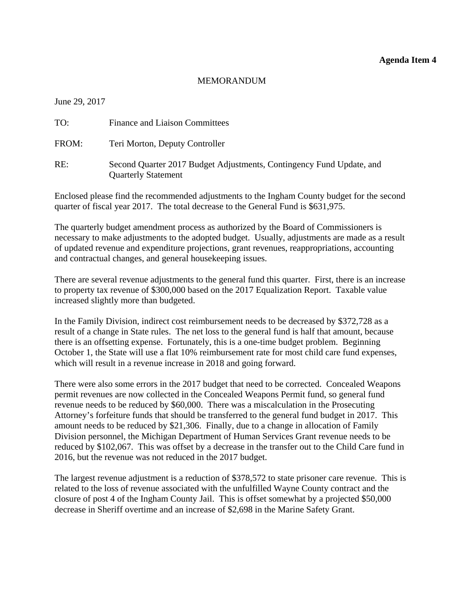#### **Agenda Item 4**

#### MEMORANDUM

June 29, 2017

| TO:   | <b>Finance and Liaison Committees</b>                                                              |
|-------|----------------------------------------------------------------------------------------------------|
| FROM: | Teri Morton, Deputy Controller                                                                     |
| RE:   | Second Quarter 2017 Budget Adjustments, Contingency Fund Update, and<br><b>Quarterly Statement</b> |

Enclosed please find the recommended adjustments to the Ingham County budget for the second quarter of fiscal year 2017. The total decrease to the General Fund is \$631,975.

The quarterly budget amendment process as authorized by the Board of Commissioners is necessary to make adjustments to the adopted budget. Usually, adjustments are made as a result of updated revenue and expenditure projections, grant revenues, reappropriations, accounting and contractual changes, and general housekeeping issues.

There are several revenue adjustments to the general fund this quarter. First, there is an increase to property tax revenue of \$300,000 based on the 2017 Equalization Report. Taxable value increased slightly more than budgeted.

In the Family Division, indirect cost reimbursement needs to be decreased by \$372,728 as a result of a change in State rules. The net loss to the general fund is half that amount, because there is an offsetting expense. Fortunately, this is a one-time budget problem. Beginning October 1, the State will use a flat 10% reimbursement rate for most child care fund expenses, which will result in a revenue increase in 2018 and going forward.

There were also some errors in the 2017 budget that need to be corrected. Concealed Weapons permit revenues are now collected in the Concealed Weapons Permit fund, so general fund revenue needs to be reduced by \$60,000. There was a miscalculation in the Prosecuting Attorney's forfeiture funds that should be transferred to the general fund budget in 2017. This amount needs to be reduced by \$21,306. Finally, due to a change in allocation of Family Division personnel, the Michigan Department of Human Services Grant revenue needs to be reduced by \$102,067. This was offset by a decrease in the transfer out to the Child Care fund in 2016, but the revenue was not reduced in the 2017 budget.

The largest revenue adjustment is a reduction of \$378,572 to state prisoner care revenue. This is related to the loss of revenue associated with the unfulfilled Wayne County contract and the closure of post 4 of the Ingham County Jail. This is offset somewhat by a projected \$50,000 decrease in Sheriff overtime and an increase of \$2,698 in the Marine Safety Grant.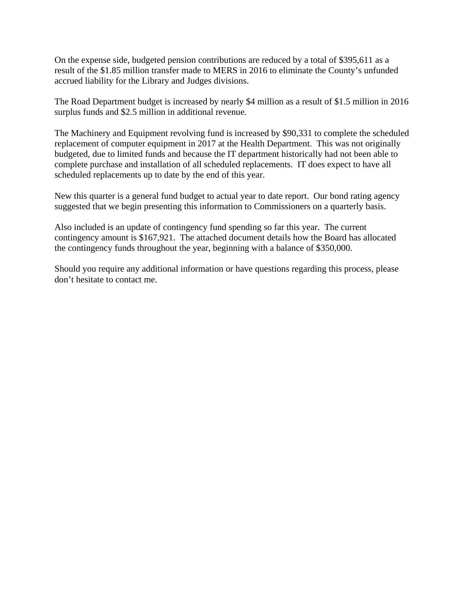On the expense side, budgeted pension contributions are reduced by a total of \$395,611 as a result of the \$1.85 million transfer made to MERS in 2016 to eliminate the County's unfunded accrued liability for the Library and Judges divisions.

The Road Department budget is increased by nearly \$4 million as a result of \$1.5 million in 2016 surplus funds and \$2.5 million in additional revenue.

The Machinery and Equipment revolving fund is increased by \$90,331 to complete the scheduled replacement of computer equipment in 2017 at the Health Department. This was not originally budgeted, due to limited funds and because the IT department historically had not been able to complete purchase and installation of all scheduled replacements. IT does expect to have all scheduled replacements up to date by the end of this year.

New this quarter is a general fund budget to actual year to date report. Our bond rating agency suggested that we begin presenting this information to Commissioners on a quarterly basis.

Also included is an update of contingency fund spending so far this year. The current contingency amount is \$167,921. The attached document details how the Board has allocated the contingency funds throughout the year, beginning with a balance of \$350,000.

Should you require any additional information or have questions regarding this process, please don't hesitate to contact me.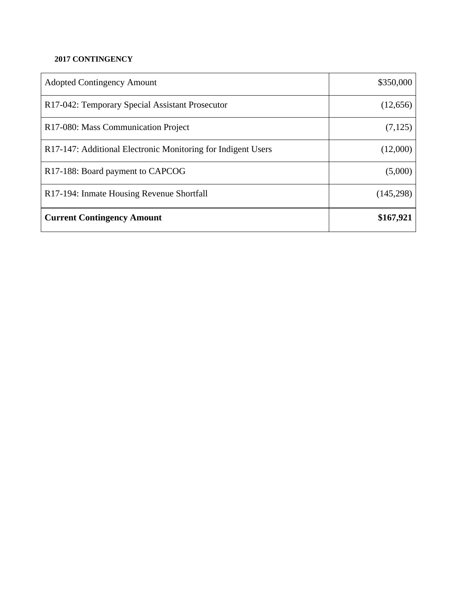### **2017 CONTINGENCY**

| <b>Adopted Contingency Amount</b>                            | \$350,000 |
|--------------------------------------------------------------|-----------|
| R17-042: Temporary Special Assistant Prosecutor              | (12,656)  |
| R <sub>17</sub> -080: Mass Communication Project             | (7, 125)  |
| R17-147: Additional Electronic Monitoring for Indigent Users | (12,000)  |
| R <sub>17</sub> -188: Board payment to CAPCOG                | (5,000)   |
| R <sub>17</sub> -194: Inmate Housing Revenue Shortfall       | (145,298) |
| <b>Current Contingency Amount</b>                            | \$167,921 |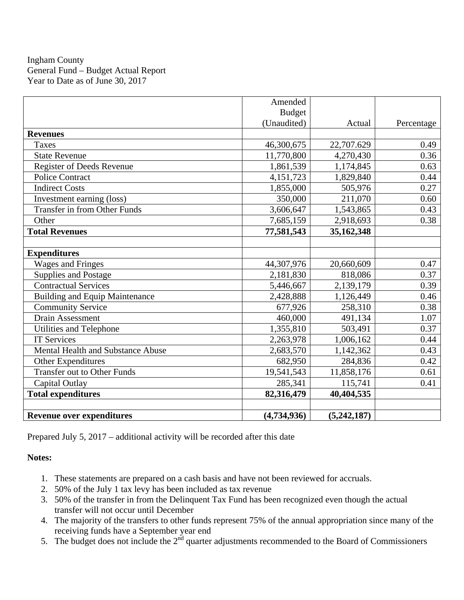Ingham County General Fund – Budget Actual Report Year to Date as of June 30, 2017

|                                       | Amended       |             |            |
|---------------------------------------|---------------|-------------|------------|
|                                       | <b>Budget</b> |             |            |
|                                       | (Unaudited)   | Actual      | Percentage |
| <b>Revenues</b>                       |               |             |            |
| <b>Taxes</b>                          | 46,300,675    | 22,707.629  | 0.49       |
| <b>State Revenue</b>                  | 11,770,800    | 4,270,430   | 0.36       |
| <b>Register of Deeds Revenue</b>      | 1,861,539     | 1,174,845   | 0.63       |
| <b>Police Contract</b>                | 4,151,723     | 1,829,840   | 0.44       |
| <b>Indirect Costs</b>                 | 1,855,000     | 505,976     | 0.27       |
| Investment earning (loss)             | 350,000       | 211,070     | 0.60       |
| Transfer in from Other Funds          | 3,606,647     | 1,543,865   | 0.43       |
| Other                                 | 7,685,159     | 2,918,693   | 0.38       |
| <b>Total Revenues</b>                 | 77,581,543    | 35,162,348  |            |
|                                       |               |             |            |
| <b>Expenditures</b>                   |               |             |            |
| <b>Wages and Fringes</b>              | 44,307,976    | 20,660,609  | 0.47       |
| <b>Supplies and Postage</b>           | 2,181,830     | 818,086     | 0.37       |
| <b>Contractual Services</b>           | 5,446,667     | 2,139,179   | 0.39       |
| <b>Building and Equip Maintenance</b> | 2,428,888     | 1,126,449   | 0.46       |
| <b>Community Service</b>              | 677,926       | 258,310     | 0.38       |
| <b>Drain Assessment</b>               | 460,000       | 491,134     | 1.07       |
| Utilities and Telephone               | 1,355,810     | 503,491     | 0.37       |
| <b>IT Services</b>                    | 2,263,978     | 1,006,162   | 0.44       |
| Mental Health and Substance Abuse     | 2,683,570     | 1,142,362   | 0.43       |
| <b>Other Expenditures</b>             | 682,950       | 284,836     | 0.42       |
| <b>Transfer out to Other Funds</b>    | 19,541,543    | 11,858,176  | 0.61       |
| Capital Outlay                        | 285,341       | 115,741     | 0.41       |
| <b>Total expenditures</b>             | 82,316,479    | 40,404,535  |            |
|                                       |               |             |            |
| <b>Revenue over expenditures</b>      | (4,734,936)   | (5,242,187) |            |

Prepared July 5, 2017 – additional activity will be recorded after this date

### **Notes:**

- 1. These statements are prepared on a cash basis and have not been reviewed for accruals.
- 2. 50% of the July 1 tax levy has been included as tax revenue
- 3. 50% of the transfer in from the Delinquent Tax Fund has been recognized even though the actual transfer will not occur until December
- 4. The majority of the transfers to other funds represent 75% of the annual appropriation since many of the receiving funds have a September year end
- 5. The budget does not include the  $2<sup>nd</sup>$  quarter adjustments recommended to the Board of Commissioners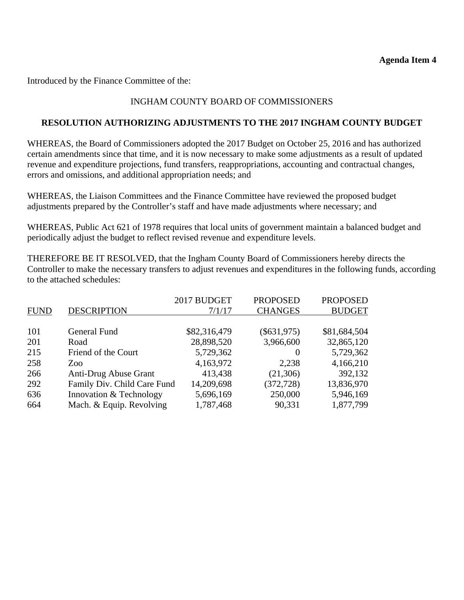#### **Agenda Item 4**

Introduced by the Finance Committee of the:

### INGHAM COUNTY BOARD OF COMMISSIONERS

#### **RESOLUTION AUTHORIZING ADJUSTMENTS TO THE 2017 INGHAM COUNTY BUDGET**

WHEREAS, the Board of Commissioners adopted the 2017 Budget on October 25, 2016 and has authorized certain amendments since that time, and it is now necessary to make some adjustments as a result of updated revenue and expenditure projections, fund transfers, reappropriations, accounting and contractual changes, errors and omissions, and additional appropriation needs; and

WHEREAS, the Liaison Committees and the Finance Committee have reviewed the proposed budget adjustments prepared by the Controller's staff and have made adjustments where necessary; and

WHEREAS, Public Act 621 of 1978 requires that local units of government maintain a balanced budget and periodically adjust the budget to reflect revised revenue and expenditure levels.

THEREFORE BE IT RESOLVED, that the Ingham County Board of Commissioners hereby directs the Controller to make the necessary transfers to adjust revenues and expenditures in the following funds, according to the attached schedules:

|                             |              | <b>PROPOSED</b> | <b>PROPOSED</b> |
|-----------------------------|--------------|-----------------|-----------------|
| <b>DESCRIPTION</b>          | 7/1/17       | <b>CHANGES</b>  | <b>BUDGET</b>   |
|                             |              |                 |                 |
| General Fund                | \$82,316,479 | $(\$631,975)$   | \$81,684,504    |
| Road                        | 28,898,520   | 3,966,600       | 32,865,120      |
| Friend of the Court         | 5,729,362    | $\theta$        | 5,729,362       |
| Zoo                         | 4,163,972    | 2,238           | 4,166,210       |
| Anti-Drug Abuse Grant       | 413,438      | (21,306)        | 392,132         |
| Family Div. Child Care Fund | 14,209,698   | (372, 728)      | 13,836,970      |
| Innovation & Technology     | 5,696,169    | 250,000         | 5,946,169       |
| Mach. & Equip. Revolving    | 1,787,468    | 90,331          | 1,877,799       |
|                             |              | 2017 BUDGET     |                 |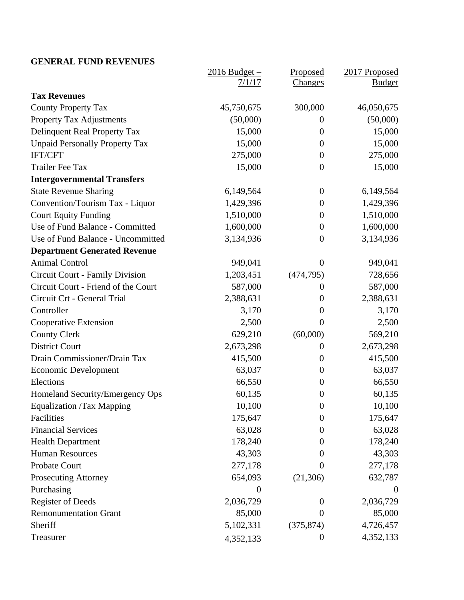# **GENERAL FUND REVENUES**

|                                        | $2016$ Budget $-$ | Proposed         | 2017 Proposed    |
|----------------------------------------|-------------------|------------------|------------------|
|                                        | 7/1/17            | <b>Changes</b>   | <b>Budget</b>    |
| <b>Tax Revenues</b>                    |                   |                  |                  |
| <b>County Property Tax</b>             | 45,750,675        | 300,000          | 46,050,675       |
| <b>Property Tax Adjustments</b>        | (50,000)          | $\boldsymbol{0}$ | (50,000)         |
| Delinquent Real Property Tax           | 15,000            | $\boldsymbol{0}$ | 15,000           |
| <b>Unpaid Personally Property Tax</b>  | 15,000            | $\boldsymbol{0}$ | 15,000           |
| IFT/CFT                                | 275,000           | $\overline{0}$   | 275,000          |
| <b>Trailer Fee Tax</b>                 | 15,000            | $\boldsymbol{0}$ | 15,000           |
| <b>Intergovernmental Transfers</b>     |                   |                  |                  |
| <b>State Revenue Sharing</b>           | 6,149,564         | $\overline{0}$   | 6,149,564        |
| Convention/Tourism Tax - Liquor        | 1,429,396         | $\boldsymbol{0}$ | 1,429,396        |
| <b>Court Equity Funding</b>            | 1,510,000         | $\boldsymbol{0}$ | 1,510,000        |
| Use of Fund Balance - Committed        | 1,600,000         | $\boldsymbol{0}$ | 1,600,000        |
| Use of Fund Balance - Uncommitted      | 3,134,936         | $\overline{0}$   | 3,134,936        |
| <b>Department Generated Revenue</b>    |                   |                  |                  |
| <b>Animal Control</b>                  | 949,041           | $\overline{0}$   | 949,041          |
| <b>Circuit Court - Family Division</b> | 1,203,451         | (474, 795)       | 728,656          |
| Circuit Court - Friend of the Court    | 587,000           | $\theta$         | 587,000          |
| Circuit Crt - General Trial            | 2,388,631         | $\boldsymbol{0}$ | 2,388,631        |
| Controller                             | 3,170             | $\overline{0}$   | 3,170            |
| Cooperative Extension                  | 2,500             | $\theta$         | 2,500            |
| <b>County Clerk</b>                    | 629,210           | (60,000)         | 569,210          |
| <b>District Court</b>                  | 2,673,298         | $\overline{0}$   | 2,673,298        |
| Drain Commissioner/Drain Tax           | 415,500           | $\boldsymbol{0}$ | 415,500          |
| <b>Economic Development</b>            | 63,037            | $\boldsymbol{0}$ | 63,037           |
| Elections                              | 66,550            | $\theta$         | 66,550           |
| Homeland Security/Emergency Ops        | 60,135            | $\boldsymbol{0}$ | 60,135           |
| <b>Equalization /Tax Mapping</b>       | 10,100            | $\theta$         | 10,100           |
| Facilities                             | 175,647           | $\boldsymbol{0}$ | 175,647          |
| <b>Financial Services</b>              | 63,028            | $\overline{0}$   | 63,028           |
| <b>Health Department</b>               | 178,240           | $\theta$         | 178,240          |
| <b>Human Resources</b>                 | 43,303            | 0                | 43,303           |
| Probate Court                          | 277,178           | $\Omega$         | 277,178          |
| <b>Prosecuting Attorney</b>            | 654,093           | (21,306)         | 632,787          |
| Purchasing                             | $\boldsymbol{0}$  |                  | $\boldsymbol{0}$ |
| <b>Register of Deeds</b>               | 2,036,729         | $\theta$         | 2,036,729        |
| <b>Remonumentation Grant</b>           | 85,000            | $\Omega$         | 85,000           |
| Sheriff                                | 5,102,331         | (375, 874)       | 4,726,457        |
| Treasurer                              | 4,352,133         | $\boldsymbol{0}$ | 4,352,133        |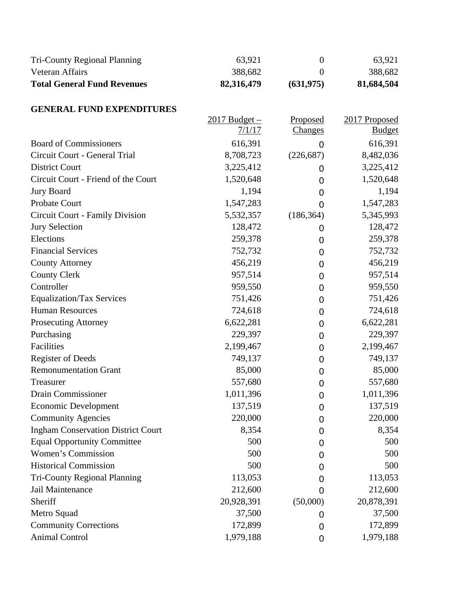| <b>Tri-County Regional Planning</b>       | 63,921                    | $\overline{0}$             | 63,921                         |
|-------------------------------------------|---------------------------|----------------------------|--------------------------------|
| Veteran Affairs                           | 388,682                   | $\overline{0}$             | 388,682                        |
| <b>Total General Fund Revenues</b>        | 82,316,479                | (631, 975)                 | 81,684,504                     |
| <b>GENERAL FUND EXPENDITURES</b>          |                           |                            |                                |
|                                           | $2017$ Budget –<br>7/1/17 | <b>Proposed</b><br>Changes | 2017 Proposed<br><b>Budget</b> |
| <b>Board of Commissioners</b>             | 616,391                   | 0                          | 616,391                        |
| Circuit Court - General Trial             | 8,708,723                 | (226, 687)                 | 8,482,036                      |
| <b>District Court</b>                     | 3,225,412                 | 0                          | 3,225,412                      |
| Circuit Court - Friend of the Court       | 1,520,648                 | 0                          | 1,520,648                      |
| <b>Jury Board</b>                         | 1,194                     | 0                          | 1,194                          |
| Probate Court                             | 1,547,283                 | $\overline{0}$             | 1,547,283                      |
| Circuit Court - Family Division           | 5,532,357                 | (186, 364)                 | 5,345,993                      |
| <b>Jury Selection</b>                     | 128,472                   | 0                          | 128,472                        |
| Elections                                 | 259,378                   | 0                          | 259,378                        |
| <b>Financial Services</b>                 | 752,732                   | 0                          | 752,732                        |
| <b>County Attorney</b>                    | 456,219                   | $\overline{0}$             | 456,219                        |
| <b>County Clerk</b>                       | 957,514                   | 0                          | 957,514                        |
| Controller                                | 959,550                   | 0                          | 959,550                        |
| <b>Equalization/Tax Services</b>          | 751,426                   | 0                          | 751,426                        |
| <b>Human Resources</b>                    | 724,618                   | 0                          | 724,618                        |
| <b>Prosecuting Attorney</b>               | 6,622,281                 | 0                          | 6,622,281                      |
| Purchasing                                | 229,397                   | 0                          | 229,397                        |
| Facilities                                | 2,199,467                 | 0                          | 2,199,467                      |
| <b>Register of Deeds</b>                  | 749,137                   | 0                          | 749,137                        |
| <b>Remonumentation Grant</b>              | 85,000                    | $\overline{0}$             | 85,000                         |
| Treasurer                                 | 557,680                   | 0                          | 557,680                        |
| Drain Commissioner                        | 1,011,396                 | $\boldsymbol{0}$           | 1,011,396                      |
| <b>Economic Development</b>               | 137,519                   | 0                          | 137,519                        |
| <b>Community Agencies</b>                 | 220,000                   | 0                          | 220,000                        |
| <b>Ingham Conservation District Court</b> | 8,354                     | 0                          | 8,354                          |
| <b>Equal Opportunity Committee</b>        | 500                       | 0                          | 500                            |
| Women's Commission                        | 500                       | 0                          | 500                            |
| <b>Historical Commission</b>              | 500                       | O                          | 500                            |
| <b>Tri-County Regional Planning</b>       | 113,053                   | 0                          | 113,053                        |
| Jail Maintenance                          | 212,600                   | 0                          | 212,600                        |
| Sheriff                                   | 20,928,391                | (50,000)                   | 20,878,391                     |
| Metro Squad                               | 37,500                    | 0                          | 37,500                         |
| <b>Community Corrections</b>              | 172,899                   | 0                          | 172,899                        |
| <b>Animal Control</b>                     | 1,979,188                 | 0                          | 1,979,188                      |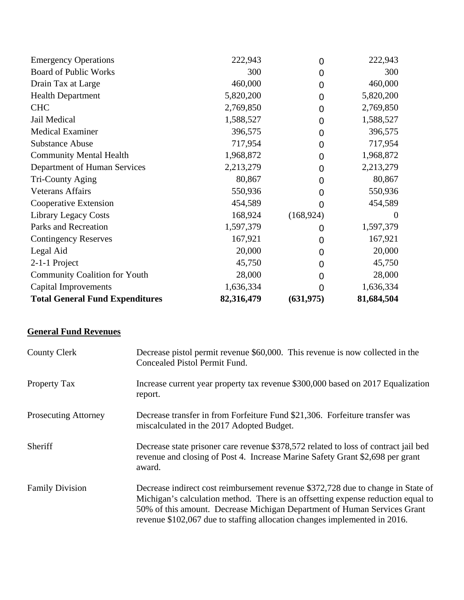| <b>Community Coalition for Youth</b><br><b>Capital Improvements</b> | 28,000<br>1,636,334 | 0<br>0         | 28,000<br>1,636,334 |
|---------------------------------------------------------------------|---------------------|----------------|---------------------|
| 2-1-1 Project                                                       | 45,750              | 0              | 45,750              |
| Legal Aid                                                           | 20,000              | 0              | 20,000              |
| <b>Contingency Reserves</b>                                         | 167,921             | 0              | 167,921             |
|                                                                     |                     | 0              |                     |
| Parks and Recreation                                                | 1,597,379           |                | 1,597,379           |
| <b>Library Legacy Costs</b>                                         | 168,924             | (168, 924)     | $\theta$            |
| Cooperative Extension                                               | 454,589             | 0              | 454,589             |
| <b>Veterans Affairs</b>                                             | 550,936             | 0              | 550,936             |
| Tri-County Aging                                                    | 80,867              | 0              | 80,867              |
| Department of Human Services                                        | 2,213,279           | 0              | 2,213,279           |
| <b>Community Mental Health</b>                                      | 1,968,872           | 0              | 1,968,872           |
| <b>Substance Abuse</b>                                              | 717,954             | $\overline{0}$ | 717,954             |
| <b>Medical Examiner</b>                                             | 396,575             | 0              | 396,575             |
| Jail Medical                                                        | 1,588,527           | $\overline{0}$ | 1,588,527           |
| <b>CHC</b>                                                          | 2,769,850           | $\overline{0}$ | 2,769,850           |
| <b>Health Department</b>                                            | 5,820,200           | $\overline{0}$ | 5,820,200           |
| Drain Tax at Large                                                  | 460,000             | $\overline{0}$ | 460,000             |
| <b>Board of Public Works</b>                                        | 300                 | 0              | 300                 |
| <b>Emergency Operations</b>                                         | 222,943             | $\overline{0}$ | 222,943             |

# **General Fund Revenues**

| <b>County Clerk</b>         | Decrease pistol permit revenue \$60,000. This revenue is now collected in the<br>Concealed Pistol Permit Fund.                                                                                                                                                                                                                |
|-----------------------------|-------------------------------------------------------------------------------------------------------------------------------------------------------------------------------------------------------------------------------------------------------------------------------------------------------------------------------|
| Property Tax                | Increase current year property tax revenue \$300,000 based on 2017 Equalization<br>report.                                                                                                                                                                                                                                    |
| <b>Prosecuting Attorney</b> | Decrease transfer in from Forfeiture Fund \$21,306. Forfeiture transfer was<br>miscalculated in the 2017 Adopted Budget.                                                                                                                                                                                                      |
| Sheriff                     | Decrease state prisoner care revenue \$378,572 related to loss of contract jail bed<br>revenue and closing of Post 4. Increase Marine Safety Grant \$2,698 per grant<br>award.                                                                                                                                                |
| <b>Family Division</b>      | Decrease indirect cost reimbursement revenue \$372,728 due to change in State of<br>Michigan's calculation method. There is an offsetting expense reduction equal to<br>50% of this amount. Decrease Michigan Department of Human Services Grant<br>revenue \$102,067 due to staffing allocation changes implemented in 2016. |